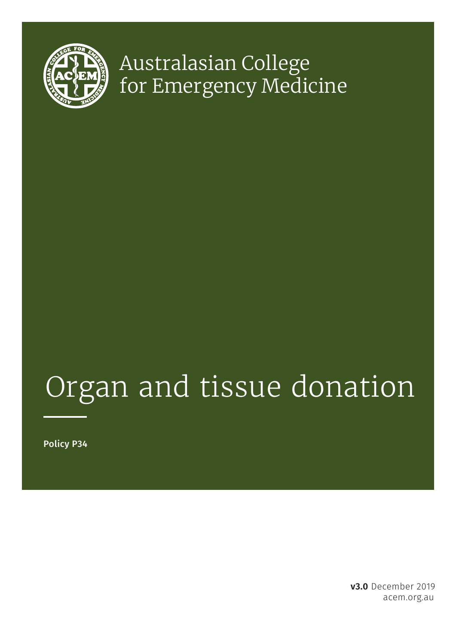

## Australasian College for Emergency Medicine

# Organ and tissue donation

Policy P34

acem.org.au **v3.0** December 2019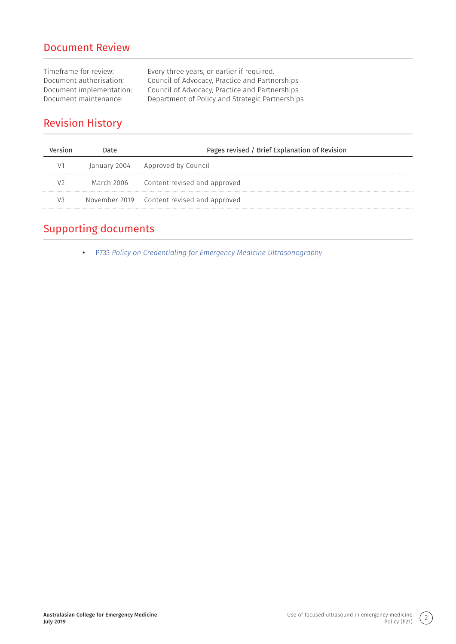#### Document Review

Timeframe for review:<br>
Document authorisation: Council of Advocacy, Practice and Partne Document authorisation: Council of Advocacy, Practice and Partnerships<br>Document implementation: Council of Advocacy, Practice and Partnerships Council of Advocacy, Practice and Partnerships Document maintenance: Department of Policy and Strategic Partnerships

#### Revision History

| Date | Pages revised / Brief Explanation of Revision |
|------|-----------------------------------------------|
|      | January 2004 Approved by Council              |
|      | March 2006 Content revised and approved       |
|      | November 2019 Content revised and approved    |
|      |                                               |

#### Supporting documents

**•** P733 *[Policy on Credentialing for Emergency Medicine Ultrasonography](https://acem.org.au/getmedia/ee68a734-7634-425d-865a-f5e17dc8b4e4/P733_Policy-on-Credentialing-for-Emergency-Medicine-Ultrasonography_v1_Aug-2019)*

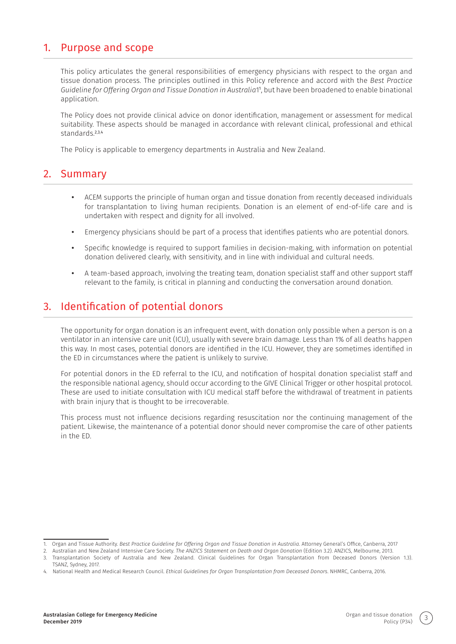#### 1. Purpose and scope

This policy articulates the general responsibilities of emergency physicians with respect to the organ and tissue donation process. The principles outlined in this Policy reference and accord with the *Best Practice Guideline for Offering Organ and Tissue Donation in Australia*1<sup>1</sup> , but have been broadened to enable binational application.

The Policy does not provide clinical advice on donor identification, management or assessment for medical suitability. These aspects should be managed in accordance with relevant clinical, professional and ethical standards<sup>2,3,4</sup>

The Policy is applicable to emergency departments in Australia and New Zealand.

#### 2. Summary

- **•** ACEM supports the principle of human organ and tissue donation from recently deceased individuals for transplantation to living human recipients. Donation is an element of end-of-life care and is undertaken with respect and dignity for all involved.
- **•** Emergency physicians should be part of a process that identifies patients who are potential donors.
- **•** Specific knowledge is required to support families in decision-making, with information on potential donation delivered clearly, with sensitivity, and in line with individual and cultural needs.
- **•** A team-based approach, involving the treating team, donation specialist staff and other support staff relevant to the family, is critical in planning and conducting the conversation around donation.

#### 3. Identification of potential donors

The opportunity for organ donation is an infrequent event, with donation only possible when a person is on a ventilator in an intensive care unit (ICU), usually with severe brain damage. Less than 1% of all deaths happen this way. In most cases, potential donors are identified in the ICU. However, they are sometimes identified in the ED in circumstances where the patient is unlikely to survive.

For potential donors in the ED referral to the ICU, and notification of hospital donation specialist staff and the responsible national agency, should occur according to the GIVE Clinical Trigger or other hospital protocol. These are used to initiate consultation with ICU medical staff before the withdrawal of treatment in patients with brain injury that is thought to be irrecoverable.

This process must not influence decisions regarding resuscitation nor the continuing management of the patient. Likewise, the maintenance of a potential donor should never compromise the care of other patients in the ED.

<sup>1.</sup> Organ and Tissue Authority. *Best Practice Guideline for Offering Organ and Tissue Donation in Australia*. Attorney General's Office, Canberra, 2017

<sup>2.</sup> Australian and New Zealand Intensive Care Society. *The ANZICS Statement on Death and Organ Donation* (Edition 3.2). ANZICS, Melbourne, 2013.

<sup>3.</sup> Transplantation Society of Australia and New Zealand. Clinical Guidelines for Organ Transplantation from Deceased Donors (Version 1.3). TSANZ, Sydney, 2017.

<sup>4.</sup> National Health and Medical Research Council. *Ethical Guidelines for Organ Transplantation from Deceased Donors*. NHMRC, Canberra, 2016.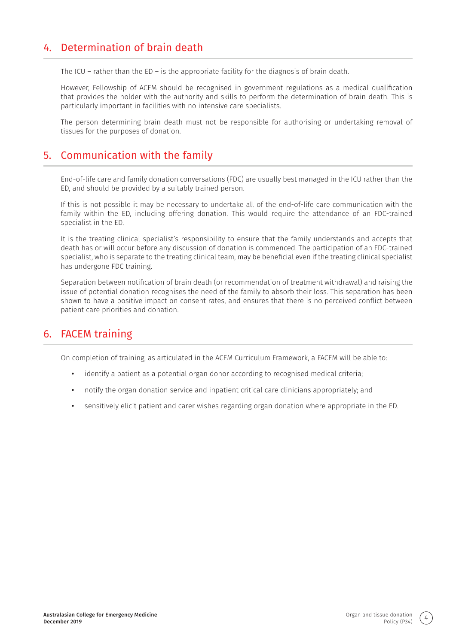#### 4. Determination of brain death

The ICU – rather than the ED – is the appropriate facility for the diagnosis of brain death.

However, Fellowship of ACEM should be recognised in government regulations as a medical qualification that provides the holder with the authority and skills to perform the determination of brain death. This is particularly important in facilities with no intensive care specialists.

The person determining brain death must not be responsible for authorising or undertaking removal of tissues for the purposes of donation.

#### 5. Communication with the family

End-of-life care and family donation conversations (FDC) are usually best managed in the ICU rather than the ED, and should be provided by a suitably trained person.

If this is not possible it may be necessary to undertake all of the end-of-life care communication with the family within the ED, including offering donation. This would require the attendance of an FDC-trained specialist in the ED.

It is the treating clinical specialist's responsibility to ensure that the family understands and accepts that death has or will occur before any discussion of donation is commenced. The participation of an FDC-trained specialist, who is separate to the treating clinical team, may be beneficial even if the treating clinical specialist has undergone FDC training.

Separation between notification of brain death (or recommendation of treatment withdrawal) and raising the issue of potential donation recognises the need of the family to absorb their loss. This separation has been shown to have a positive impact on consent rates, and ensures that there is no perceived conflict between patient care priorities and donation.

#### 6. FACEM training

On completion of training, as articulated in the ACEM Curriculum Framework, a FACEM will be able to:

- **•** identify a patient as a potential organ donor according to recognised medical criteria;
- **•** notify the organ donation service and inpatient critical care clinicians appropriately; and
- **•** sensitively elicit patient and carer wishes regarding organ donation where appropriate in the ED.